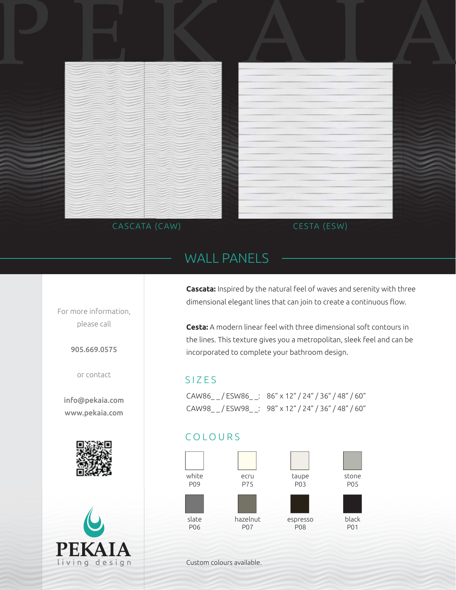



# WALL PANELS

For more information, please call

905.669.0575

or contact

info@pekaia.com www.pekaia.com





**Cascata:** Inspired by the natural feel of waves and serenity with three dimensional elegant lines that can join to create a continuous flow.

**Cesta:** A modern linear feel with three dimensional soft contours in the lines. This texture gives you a metropolitan, sleek feel and can be incorporated to complete your bathroom design.

## SIZES

CAW86\_ \_ / ESW86\_ \_: 86" x 12" / 24" / 36" / 48" / 60" CAW98\_ \_ / ESW98\_ \_: 98" x 12" / 24" / 36" / 48" / 60"

## COLOURS



Custom colours available.